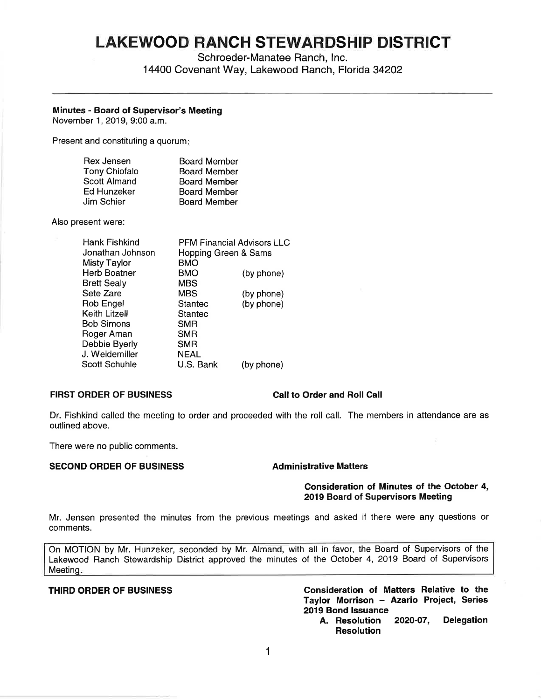# **LAKEWOOD RANCH STEWARDSHIP DISTRICT**

Schroeder-Manatee Ranch, Inc.

14400 Covenant Way, Lakewood Ranch, Florida 34202

# **Minutes** - **Board of Supervisor's Meeting**

November 1, 2019, 9:00 a.m.

Present and constituting a quorum:

| Rex Jensen           | <b>Board Member</b> |
|----------------------|---------------------|
| <b>Tony Chiofalo</b> | <b>Board Member</b> |
| <b>Scott Almand</b>  | <b>Board Member</b> |
| Ed Hunzeker          | <b>Board Member</b> |
| Jim Schier           | <b>Board Member</b> |

Also present were:

| Hank Fishkind        | <b>PFM Financial Advisors LLC</b> |            |
|----------------------|-----------------------------------|------------|
| Jonathan Johnson     | Hopping Green & Sams              |            |
| Misty Taylor         | BMO                               |            |
| <b>Herb Boatner</b>  | BMO                               | (by phone) |
| <b>Brett Sealy</b>   | <b>MBS</b>                        |            |
| Sete Zare            | <b>MBS</b>                        | (by phone) |
| Rob Engel            | Stantec                           | (by phone) |
| Keith Litzell        | <b>Stantec</b>                    |            |
| <b>Bob Simons</b>    | <b>SMR</b>                        |            |
| Roger Aman           | <b>SMR</b>                        |            |
| Debbie Byerly        | <b>SMR</b>                        |            |
| J. Weidemiller       | <b>NEAL</b>                       |            |
| <b>Scott Schuhle</b> | U.S. Bank                         | (by phone) |
|                      |                                   |            |

# **FIRST ORDER OF BUSINESS Call to Order and Roll Call**

Dr. Fishkind called the meeting to order and proceeded with the roll call. The members in attendance are as outlined above.

There were no public comments.

# **SECOND ORDER OF BUSINESS Administrative Matters**

### **Consideration of Minutes of the October 4, 2019 Board of Supervisors Meeting**

Mr. Jensen presented the minutes from the previous meetings and asked if there were any questions or comments.

On MOTION by Mr. Hunzeker, seconded by Mr. Almand, with all in favor, the Board of Supervisors of the Lakewood Ranch Stewardship District approved the minutes of the October 4, 2019 Board of Supervisors Meeting.

**THIRD ORDER OF BUSINESS Consideration of Matters Relative to the Taylor Morrison** - **Azario Project, Series 2019 Bond Issuance** 

**A. Resolution 2020-07, Delegation Resolution**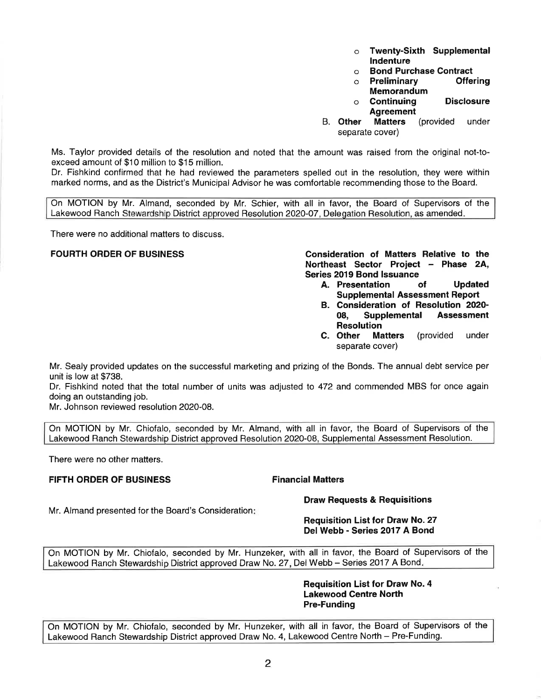- o **Twenty-Sixth Supplemental Indenture**
- 
- o **Bond Purchase Contract**  o **Preliminary Memorandum**
- o **Continuing Disclosure Agreement**
- B. **Other Matters** (provided under separate cover)

Ms. Taylor provided details of the resolution and noted that the amount was raised from the original not-toexceed amount of \$10 million to \$15 million.

Dr. Fishkind confirmed that he had reviewed the parameters spelled out in the resolution, they were within marked norms, and as the District's Municipal Advisor he was comfortable recommending those to the Board.

On MOTION by Mr. Almand, seconded by Mr. Schier, with all in favor, the Board of Supervisors of the Lakewood Ranch Stewardship District approved Resolution 2020-07, Delegation Resolution, as amended.

There were no additional matters to discuss.

**FOURTH ORDER OF BUSINESS Consideration of Matters Relative to the Northeast Sector Project - Phase 2A, Series 2019 Bond Issuance** 

- **A. Presentation of Updated Supplemental Assessment Report**
- **B. Consideration of Resolution 2020- 08, Supplemental Assessment Resolution**
- **C. Other Matters** (provided under separate cover)

Mr. Sealy provided updates on the successful marketing and prizing of the Bonds. The annual debt service per unit is low at \$738.

Dr. Fishkind noted that the total number of units was adjusted to 472 and commended MBS for once again doing an outstanding job.

Mr. Johnson reviewed resolution 2020-08.

On MOTION by Mr. Chiofalo, seconded by Mr. Almand, with all in favor, the Board of Supervisors of the Lakewood Ranch Stewardship District approved Resolution 2020-08, Supplemental Assessment Resolution.

There were no other matters.

# **FIFTH ORDER OF BUSINESS FINALLY RESERVE FINANCIAL Matters**

**Draw Requests & Requisitions** 

Mr. Almand presented for the Board's Consideration:

# **Requisition List for Draw No. 27 Del Webb - Series 2017 A Bond**

On MOTION by Mr. Chiofalo, seconded by Mr. Hunzeker, with all in favor, the Board of Supervisors of the Lakewood Ranch Stewardship District approved Draw No. 27, Del Webb - Series 2017 A Bond.

> **Requisition List for Draw No. 4 Lakewood Centre North Pre-Funding**

On MOTION by Mr. Chiofalo, seconded by Mr. Hunzeker, with all in favor, the Board of Supervisors of the Lakewood Ranch Stewardship District approved Draw No. 4, Lakewood Centre North - Pre-Funding.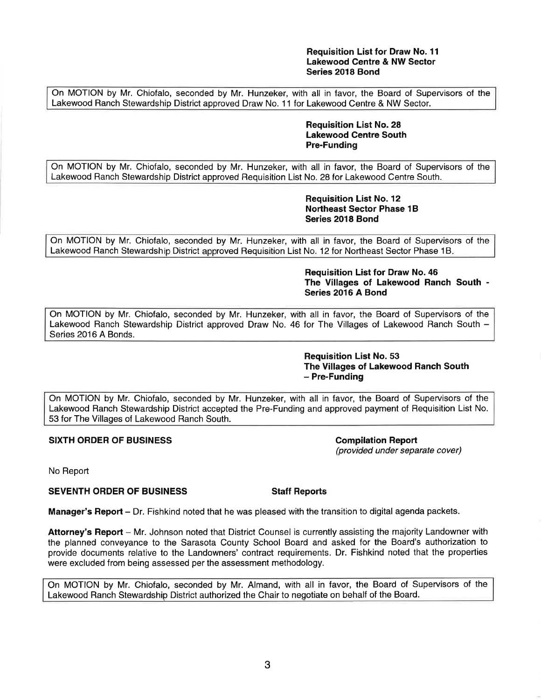# **Requisition List for Draw No. 11 Lakewood Centre & NW Sector Series 2018 Bond**

On MOTION by Mr. Chiofalo, seconded by Mr. Hunzeker, with all in favor, the Board of Supervisors of the Lakewood Ranch Stewardship District approved Draw No. 11 for Lakewood Centre & NW Sector.

> **Requisition List No. 28 Lakewood Centre South Pre-Funding**

On MOTION by Mr. Chiofalo, seconded by Mr. Hunzeker, with all in favor, the Board of Supervisors of the Lakewood Ranch Stewardship District approved Requisition List No. 28 for Lakewood Centre South.

> **Requisition List No. 12 Northeast Sector Phase 1B Series 2018 Bond**

On MOTION by Mr. Chiofalo, seconded by Mr. Hunzeker, with all in favor, the Board of Supervisors of the Lakewood Ranch Stewardship District approved Requisition List No. 12 for Northeast Sector Phase 1B.

> **Requisition List for Draw No. 46 The Villages of Lakewood Ranch South** - **Series 2016 A Bond**

On MOTION by Mr. Chiofalo, seconded by Mr. Hunzeker, with all in favor, the Board of Supervisors of the Lakewood Ranch Stewardship District approved Draw No. 46 for The Villages of Lakewood Ranch South -Series 2016 A Bonds.

> **Requisition List No. 53 The Villages of Lakewood Ranch South**  - **Pre-Funding**

On MOTION by Mr. Chiofalo, seconded by Mr. Hunzeker, with all in favor, the Board of Supervisors of the Lakewood Ranch Stewardship District accepted the Pre-Funding and approved payment of Requisition List No. 53 for The Villages of Lakewood Ranch South.

**SIXTH ORDER OF BUSINESS COMPUTER STATES AND REPORT COMPUTER OF BUSINESS COMPUTER** 

(provided under separate cover)

No Report

**SEVENTH ORDER OF BUSINESS Staff Reports** 

**Manager's Report** - Dr. Fishkind noted that he was pleased with the transition to digital agenda packets.

**Attorney's Report** - Mr. Johnson noted that District Counsel is currently assisting the majority Landowner with the planned conveyance to the Sarasota County School Board and asked for the Board's authorization to provide documents relative to the Landowners' contract requirements. Dr. Fishkind noted that the properties were excluded from being assessed per the assessment methodology.

On MOTION by Mr. Chiofalo, seconded by Mr. Almand, with all in favor, the Board of Supervisors of the Lakewood Ranch Stewardship District authorized the Chair to negotiate on behalf of the Board.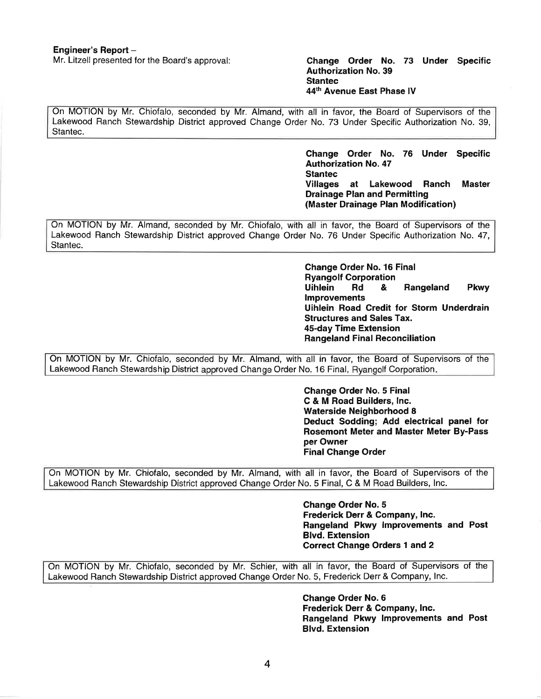# Mr. Litzell presented for the Board's approval: **Change Order No. 73 Under Specific Authorization No. 39 Stantec 44th Avenue East Phase IV**

On MOTION by Mr. Chiofalo, seconded by Mr. Almand, with all in favor, the Board of Supervisors of the Lakewood Ranch Stewardship District approved Change Order No. 73 Under Specific Authorization No. 39, Stantec.

> **Change Order No. 76 Under Specific Authorization No. 47 Stantec Villages at Lakewood Ranch Master Drainage Plan and Permitting (Master Drainage Plan Modification)**

On MOTION by Mr. Almand, seconded by Mr. Chiofalo, with all in favor, the Board of Supervisors of the Lakewood Ranch Stewardship District approved Change Order No. 76 Under Specific Authorization No. 47, Stantec.

> **Change Order No. 16 Final Ryangolf Corporation Uihlein Rd** & **Rangeland Pkwy Improvements Uihlein Road Credit for Storm Underdrain Structures and Sales Tax. 45-day Time Extension Rangeland Final Reconciliation**

On MOTION by Mr. Chiofalo, seconded by Mr. Almand, with all in favor, the Board of Supervisors of the Lakewood Ranch Stewardship District approved Change Order No. 16 Final, Ryangolf Corporation.

> **Change Order No. 5 Final C** & **M Road Builders, Inc. Waterside Neighborhood 8 Deduct Sodding; Add electrical panel for Rosemont Meter and Master Meter By-Pass per Owner Final Change Order**

On MOTION by Mr. Chiofalo, seconded by Mr. Almand, with all in favor, the Board of Supervisors of the Lakewood Ranch Stewardship District approved Change Order No. 5 Final, C & M Road Builders, Inc.

> **Change Order No. 5 Frederick Derr** & **Company, Inc. Rangeland Pkwy Improvements and Post Blvd. Extension Correct Change Orders 1 and 2**

On MOTION by Mr. Chiofalo, seconded by Mr. Schier, with all in favor, the Board of Supervisors of the Lakewood Ranch Stewardship District approved Change Order No. 5, Frederick Derr & Company, Inc.

> **Change Order No. 6 Frederick Derr** & **Company, Inc. Rangeland Pkwy Improvements and Post Blvd. Extension**